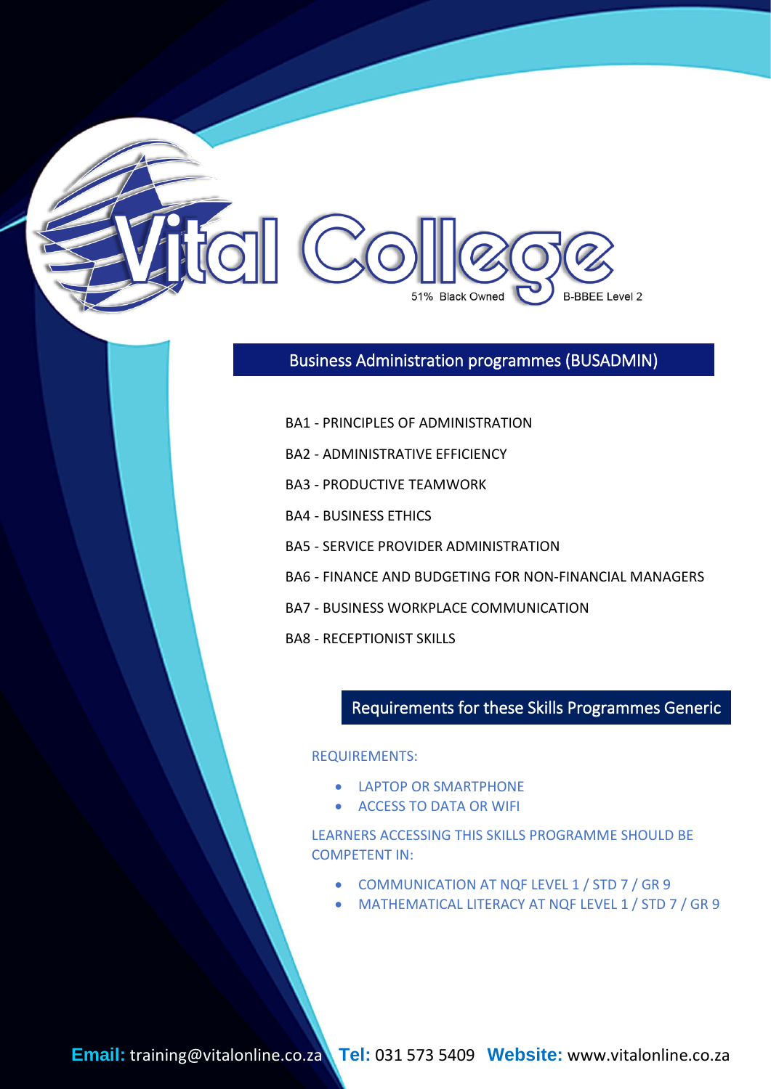#### Business Administration programmes (BUSADMIN)

51% Black Owned

**B-BBEE Level 2** 

- BA1 PRINCIPLES OF ADMINISTRATION
- BA2 ADMINISTRATIVE EFFICIENCY
- BA3 PRODUCTIVE TEAMWORK
- BA4 BUSINESS ETHICS

**FOII** Co

- BA5 SERVICE PROVIDER ADMINISTRATION
- BA6 FINANCE AND BUDGETING FOR NON-FINANCIAL MANAGERS
- BA7 BUSINESS WORKPLACE COMMUNICATION

BA8 - RECEPTIONIST SKILLS

#### Requirements for these Skills Programmes Generic

I

REQUIREMENTS:

- LAPTOP OR SMARTPHONE
- ACCESS TO DATA OR WIFI

LEARNERS ACCESSING THIS SKILLS PROGRAMME SHOULD BE COMPETENT IN:

- COMMUNICATION AT NOF LEVEL 1 / STD 7 / GR 9
- MATHEMATICAL LITERACY AT NQF LEVEL 1 / STD 7 / GR 9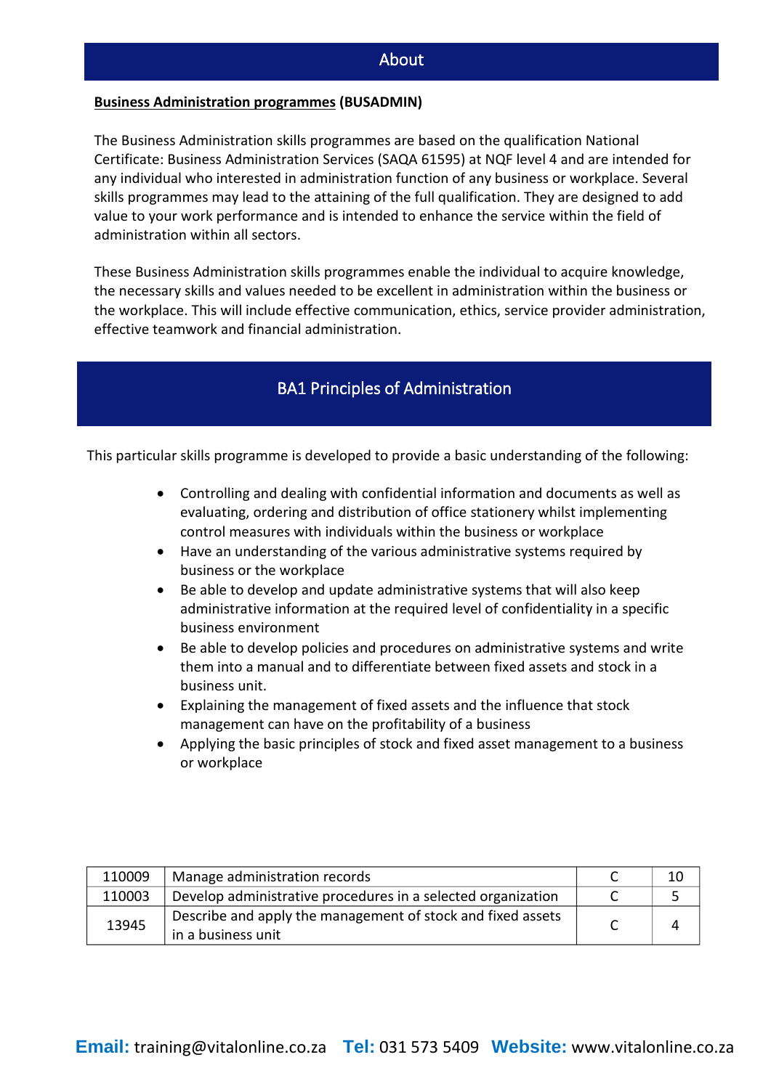#### **Business Administration programmes (BUSADMIN)**

The Business Administration skills programmes are based on the qualification National Certificate: Business Administration Services (SAQA 61595) at NQF level 4 and are intended for any individual who interested in administration function of any business or workplace. Several skills programmes may lead to the attaining of the full qualification. They are designed to add value to your work performance and is intended to enhance the service within the field of administration within all sectors.

These Business Administration skills programmes enable the individual to acquire knowledge, the necessary skills and values needed to be excellent in administration within the business or the workplace. This will include effective communication, ethics, service provider administration, effective teamwork and financial administration.

#### BA1 Principles of Administration

- Controlling and dealing with confidential information and documents as well as evaluating, ordering and distribution of office stationery whilst implementing control measures with individuals within the business or workplace
- Have an understanding of the various administrative systems required by business or the workplace
- Be able to develop and update administrative systems that will also keep administrative information at the required level of confidentiality in a specific business environment
- Be able to develop policies and procedures on administrative systems and write them into a manual and to differentiate between fixed assets and stock in a business unit.
- Explaining the management of fixed assets and the influence that stock management can have on the profitability of a business
- Applying the basic principles of stock and fixed asset management to a business or workplace

| 110009 | Manage administration records                                                     | 10        |
|--------|-----------------------------------------------------------------------------------|-----------|
| 110003 | Develop administrative procedures in a selected organization                      |           |
| 13945  | Describe and apply the management of stock and fixed assets<br>in a business unit | $\Lambda$ |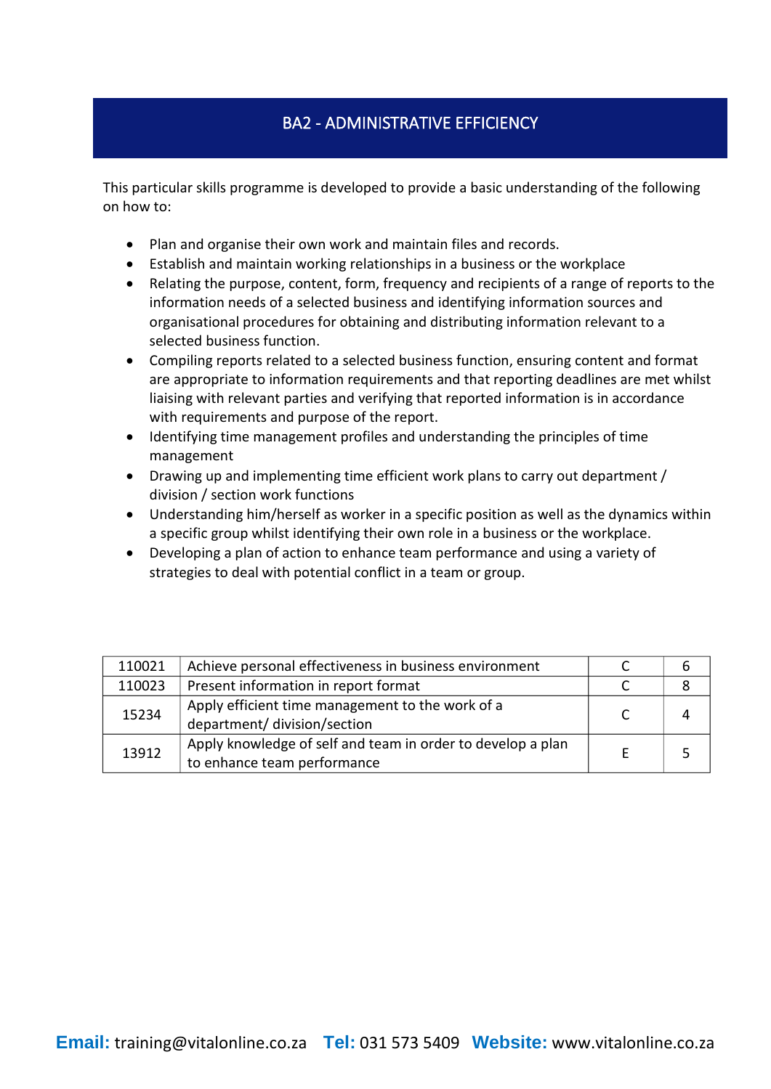### BA2 - ADMINISTRATIVE EFFICIENCY

- Plan and organise their own work and maintain files and records.
- Establish and maintain working relationships in a business or the workplace
- Relating the purpose, content, form, frequency and recipients of a range of reports to the information needs of a selected business and identifying information sources and organisational procedures for obtaining and distributing information relevant to a selected business function.
- Compiling reports related to a selected business function, ensuring content and format are appropriate to information requirements and that reporting deadlines are met whilst liaising with relevant parties and verifying that reported information is in accordance with requirements and purpose of the report.
- Identifying time management profiles and understanding the principles of time management
- Drawing up and implementing time efficient work plans to carry out department / division / section work functions
- Understanding him/herself as worker in a specific position as well as the dynamics within a specific group whilst identifying their own role in a business or the workplace.
- Developing a plan of action to enhance team performance and using a variety of strategies to deal with potential conflict in a team or group.

| 110021 | Achieve personal effectiveness in business environment                                     |   |   |
|--------|--------------------------------------------------------------------------------------------|---|---|
| 110023 | Present information in report format                                                       |   |   |
| 15234  | Apply efficient time management to the work of a<br>department/ division/section           |   | 4 |
| 13912  | Apply knowledge of self and team in order to develop a plan<br>to enhance team performance | E |   |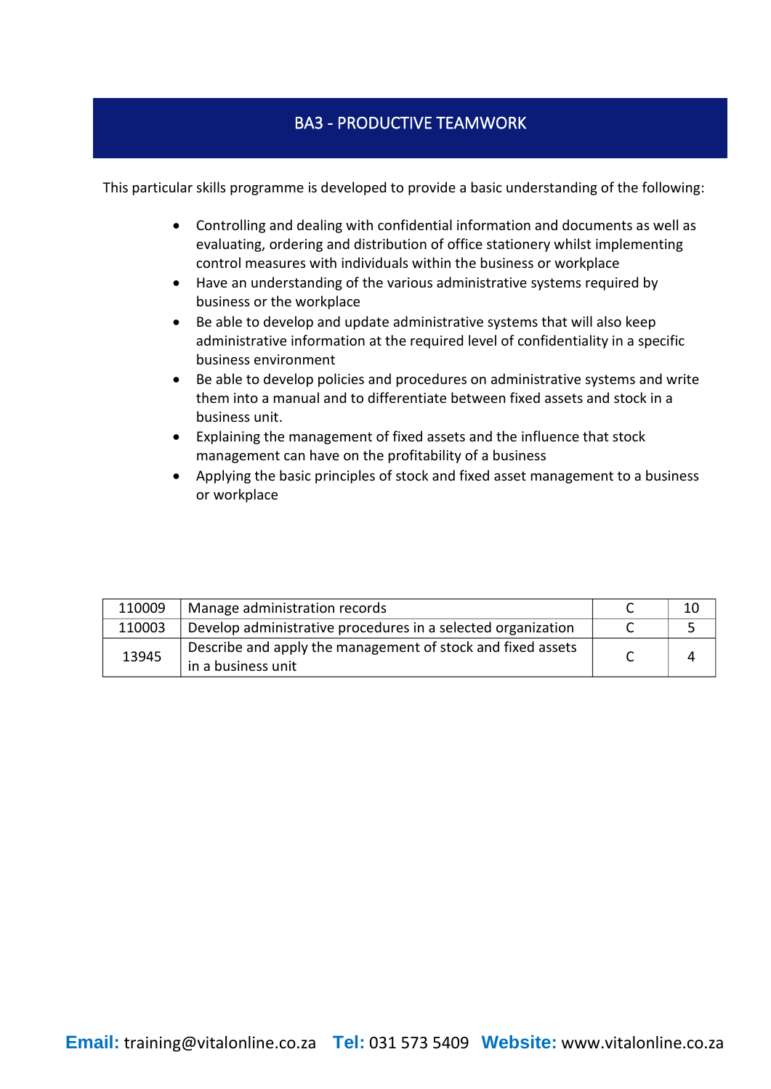#### BA3 - PRODUCTIVE TEAMWORK

- Controlling and dealing with confidential information and documents as well as evaluating, ordering and distribution of office stationery whilst implementing control measures with individuals within the business or workplace
- Have an understanding of the various administrative systems required by business or the workplace
- Be able to develop and update administrative systems that will also keep administrative information at the required level of confidentiality in a specific business environment
- Be able to develop policies and procedures on administrative systems and write them into a manual and to differentiate between fixed assets and stock in a business unit.
- Explaining the management of fixed assets and the influence that stock management can have on the profitability of a business
- Applying the basic principles of stock and fixed asset management to a business or workplace

| 110009 | Manage administration records                                                     | 10 |
|--------|-----------------------------------------------------------------------------------|----|
| 110003 | Develop administrative procedures in a selected organization                      |    |
| 13945  | Describe and apply the management of stock and fixed assets<br>in a business unit |    |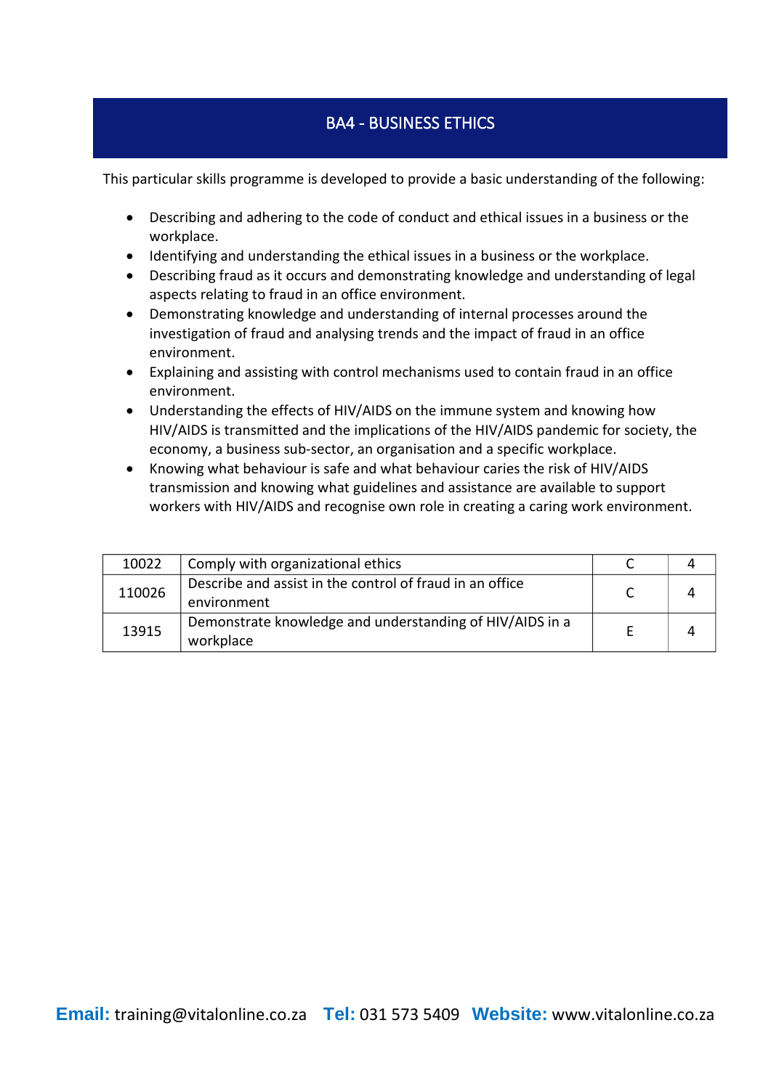### BA4 - BUSINESS ETHICS

- Describing and adhering to the code of conduct and ethical issues in a business or the workplace.
- Identifying and understanding the ethical issues in a business or the workplace.
- Describing fraud as it occurs and demonstrating knowledge and understanding of legal aspects relating to fraud in an office environment.
- Demonstrating knowledge and understanding of internal processes around the investigation of fraud and analysing trends and the impact of fraud in an office environment.
- Explaining and assisting with control mechanisms used to contain fraud in an office environment.
- Understanding the effects of HIV/AIDS on the immune system and knowing how HIV/AIDS is transmitted and the implications of the HIV/AIDS pandemic for society, the economy, a business sub-sector, an organisation and a specific workplace.
- Knowing what behaviour is safe and what behaviour caries the risk of HIV/AIDS transmission and knowing what guidelines and assistance are available to support workers with HIV/AIDS and recognise own role in creating a caring work environment.

| 10022  | Comply with organizational ethics                                       |   |
|--------|-------------------------------------------------------------------------|---|
| 110026 | Describe and assist in the control of fraud in an office<br>environment | л |
| 13915  | Demonstrate knowledge and understanding of HIV/AIDS in a<br>workplace   |   |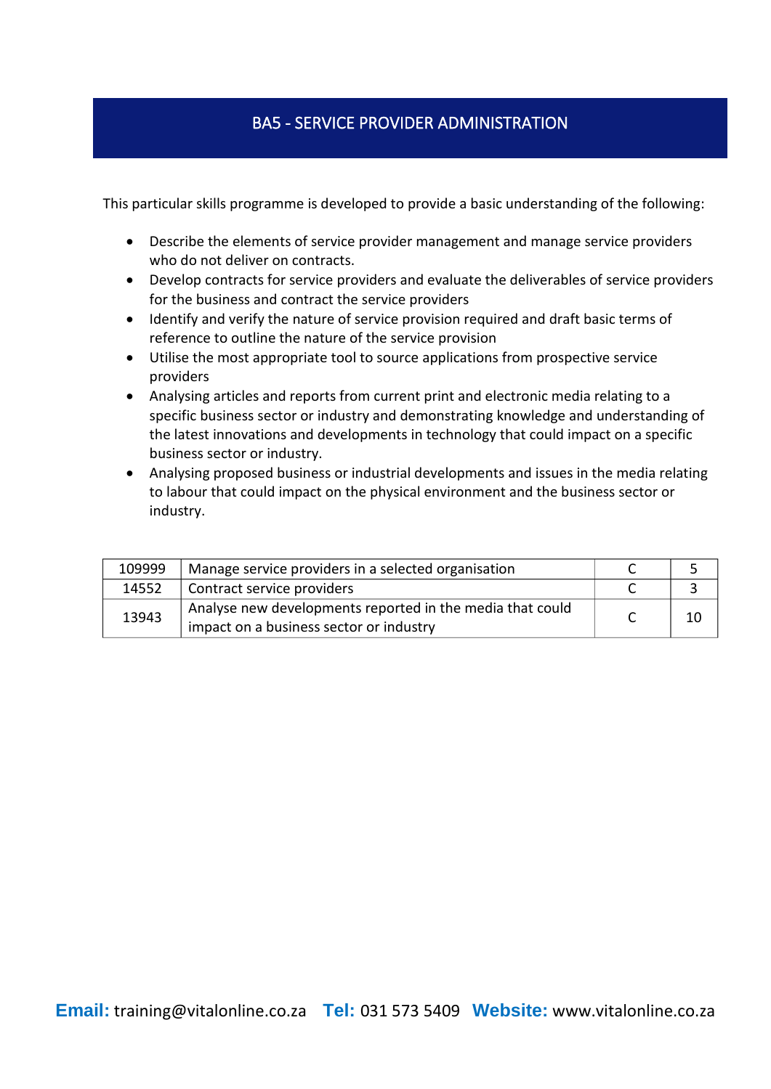## BA5 - SERVICE PROVIDER ADMINISTRATION

- Describe the elements of service provider management and manage service providers who do not deliver on contracts.
- Develop contracts for service providers and evaluate the deliverables of service providers for the business and contract the service providers
- Identify and verify the nature of service provision required and draft basic terms of reference to outline the nature of the service provision
- Utilise the most appropriate tool to source applications from prospective service providers
- Analysing articles and reports from current print and electronic media relating to a specific business sector or industry and demonstrating knowledge and understanding of the latest innovations and developments in technology that could impact on a specific business sector or industry.
- Analysing proposed business or industrial developments and issues in the media relating to labour that could impact on the physical environment and the business sector or industry.

| 109999 | Manage service providers in a selected organisation                                                  |    |
|--------|------------------------------------------------------------------------------------------------------|----|
| 14552  | Contract service providers                                                                           |    |
| 13943  | Analyse new developments reported in the media that could<br>impact on a business sector or industry | 10 |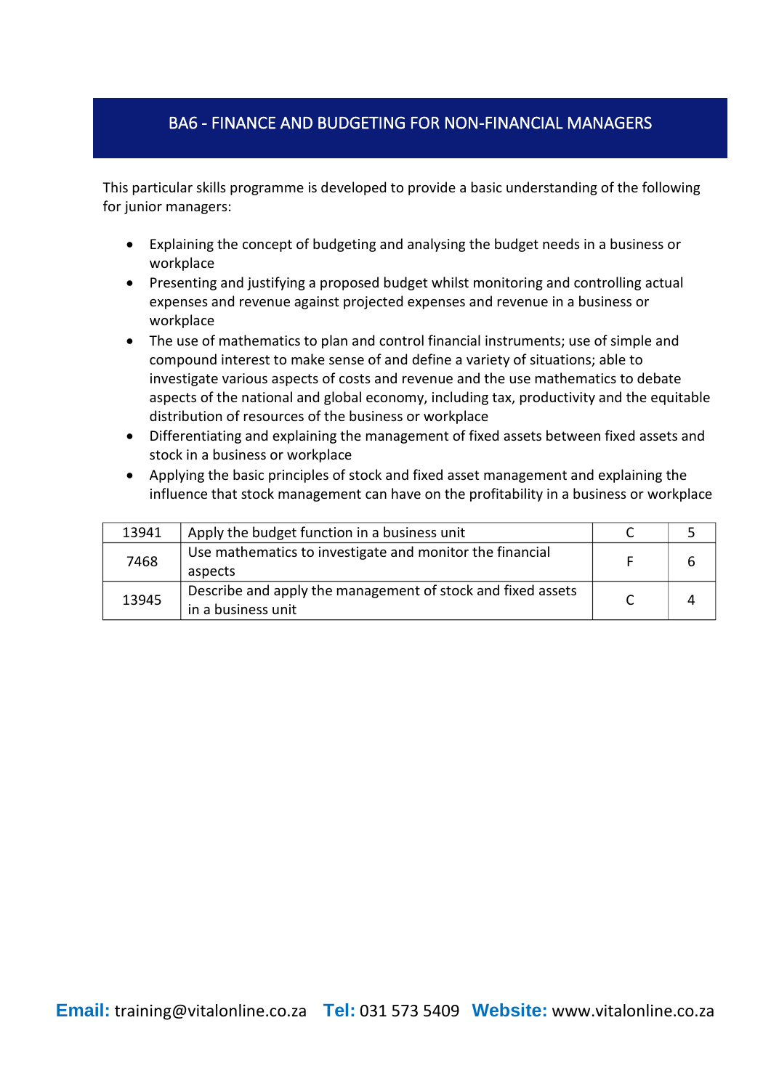#### BA6 - FINANCE AND BUDGETING FOR NON-FINANCIAL MANAGERS

- Explaining the concept of budgeting and analysing the budget needs in a business or workplace
- Presenting and justifying a proposed budget whilst monitoring and controlling actual expenses and revenue against projected expenses and revenue in a business or workplace
- The use of mathematics to plan and control financial instruments; use of simple and compound interest to make sense of and define a variety of situations; able to investigate various aspects of costs and revenue and the use mathematics to debate aspects of the national and global economy, including tax, productivity and the equitable distribution of resources of the business or workplace
- Differentiating and explaining the management of fixed assets between fixed assets and stock in a business or workplace
- Applying the basic principles of stock and fixed asset management and explaining the influence that stock management can have on the profitability in a business or workplace

| 13941 | Apply the budget function in a business unit                                      |  |
|-------|-----------------------------------------------------------------------------------|--|
| 7468  | Use mathematics to investigate and monitor the financial<br>aspects               |  |
| 13945 | Describe and apply the management of stock and fixed assets<br>in a business unit |  |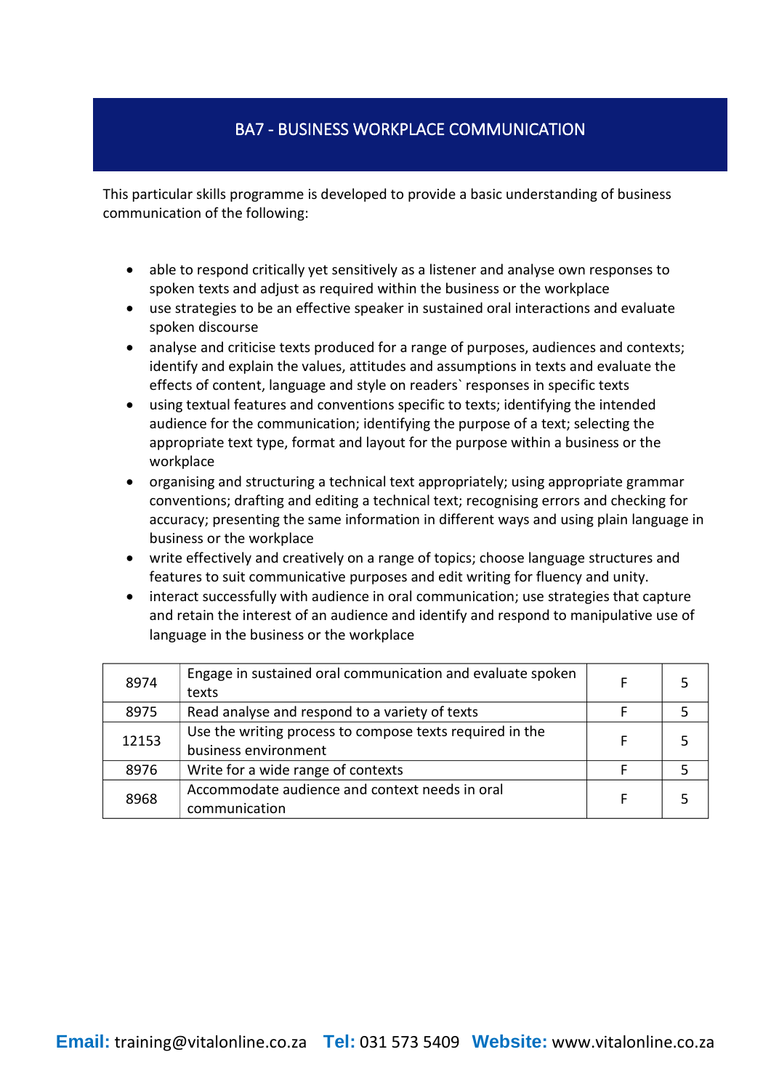#### BA7 - BUSINESS WORKPLACE COMMUNICATION

This particular skills programme is developed to provide a basic understanding of business communication of the following:

- able to respond critically yet sensitively as a listener and analyse own responses to spoken texts and adjust as required within the business or the workplace
- use strategies to be an effective speaker in sustained oral interactions and evaluate spoken discourse
- analyse and criticise texts produced for a range of purposes, audiences and contexts; identify and explain the values, attitudes and assumptions in texts and evaluate the effects of content, language and style on readers` responses in specific texts
- using textual features and conventions specific to texts; identifying the intended audience for the communication; identifying the purpose of a text; selecting the appropriate text type, format and layout for the purpose within a business or the workplace
- organising and structuring a technical text appropriately; using appropriate grammar conventions; drafting and editing a technical text; recognising errors and checking for accuracy; presenting the same information in different ways and using plain language in business or the workplace
- write effectively and creatively on a range of topics; choose language structures and features to suit communicative purposes and edit writing for fluency and unity.
- interact successfully with audience in oral communication; use strategies that capture and retain the interest of an audience and identify and respond to manipulative use of language in the business or the workplace

| 8974  | Engage in sustained oral communication and evaluate spoken<br>texts              | F |  |
|-------|----------------------------------------------------------------------------------|---|--|
| 8975  | Read analyse and respond to a variety of texts                                   |   |  |
| 12153 | Use the writing process to compose texts required in the<br>business environment | F |  |
| 8976  | Write for a wide range of contexts                                               | F |  |
| 8968  | Accommodate audience and context needs in oral<br>communication                  | F |  |